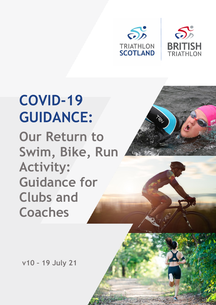



# **Our Return to Swim, Bike, Run Activity: Guidance for Clubs and Coaches COVID-19 GUIDANCE:**



**v10 – 19 July 21**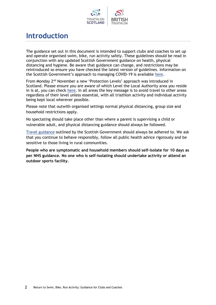

### **Introduction**

The guidance set out in this document is intended to support clubs and coaches to set up and operate organised swim, bike, run activity safely. These guidelines should be read in conjunction with any updated Scottish Government guidance on health, physical distancing and hygiene. Be aware that guidance can change, and restrictions may be reintroduced so ensure you have checked the latest version of guidelines. Information on the Scottish Government's approach to managing COVID-19 is available [here](http://www.gov.scot/coronavirus-covid-19/).

From Monday 2nd November a new 'Protection Levels' approach was introduced in Scotland. Please ensure you are aware of which Level the Local Authority area you reside in is at, you can check [here.](https://www.gov.scot/publications/coronavirus-covid-19-allocation-of-levels-to-local-authorities/) In all areas the key message is to avoid travel to other areas regardless of their level unless essential, with all triathlon activity and individual activity being kept local wherever possible.

Please note that outwith organised settings normal physical distancing, group size and household restrictions apply.

No spectating should take place other than where a parent is supervising a child or vulnerable adult, and physical distancing guidance should always be followed.

[Travel guidance](https://www.gov.scot/publications/coronavirus-covid-19-protection-levels/) outlined by the Scottish Government should always be adhered to. We ask that you continue to behave responsibly, follow all public health advice rigorously and be sensitive to those living in rural communities.

**People who are symptomatic and household members should self-isolate for 10 days as per NHS guidance. No one who is self-isolating should undertake activity or attend an outdoor sports facility.**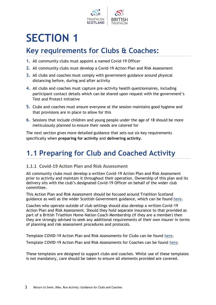

## **SECTION 1**

### **Key requirements for Clubs & Coaches:**

- **1.** All community clubs must appoint a named Covid-19 Officer
- **2.** All community clubs must develop a Covid-19 Action Plan and Risk Assessment
- **3.** All clubs and coaches must comply with government guidance around physical distancing before, during and after activity
- **4.** All clubs and coaches must capture pre-activity health questionnaires, including participant contact details which can be shared upon request with the government's Test and Protect initiative
- **5.** Clubs and coaches must ensure everyone at the session maintains good hygiene and that provisions are in place to allow for this
- **6.** Sessions that include children and young people under the age of 18 should be more meticulously planned to ensure their needs are catered for

The next section gives more detailed guidance that sets out six key requirements specifically when **preparing for activity** and **delivering activity**.

### **1.1 Preparing for Club and Coached Activity**

#### **1.1.1 Covid-19 Action Plan and Risk Assessment**

All community clubs must develop a written Covid-19 Action Plan and Risk Assessment prior to activity and maintain it throughout their operation. Ownership of this plan and its delivery sits with the club's designated Covid-19 Officer on behalf of the wider club committee.

This Action Plan and Risk Assessment should be focused around Triathlon Scotland guidance as well as the wider Scottish Government guidance, which can be found [here.](http://www.gov.scot/coronavirus-covid-19/)

Coaches who operate outside of club settings should also develop a written Covid-19 Action Plan and Risk Assessment. Should they hold separate insurance to that provided as part of a British Triathlon Home Nation Coach Membership (if they are a member) then they are strongly advised to seek any additional requirements of their own insurer in terms of planning and risk assessment procedures and protocols.

Template COVID-19 Action Plan and Risk Assessments for Clubs can be found [here.](https://www.triathlonengland.org/resources/club-information/templates-and-guidance)

Template COVID-19 Action Plan and Risk Assessments for Coaches can be found [here.](https://learninghub.britishtriathlon.org/mod/data/view.php?d=169&rid=25174)

These templates are designed to support clubs and coaches. Whilst use of these templates is not mandatory, care should be taken to ensure all elements provided are covered.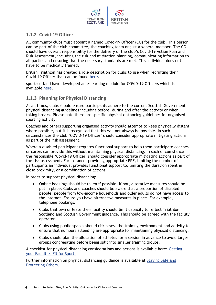

#### **1.1.2 Covid-19 Officer**

All community clubs must appoint a named Covid-19 Officer (CO) for the club. This person can be part of the club committee, the coaching team or just a general member. The CO should have overall responsibility for the delivery of the club's Covid-19 Action Plan and Risk Assessment, including the risk and mitigation planning, communicating information to all parties and ensuring that the necessary standards are met. This individual does not have to be medically trained.

British Triathlon has created a role description for clubs to use when recruiting their Covid-19 Officer that can be found [here.](https://www.triathlonengland.org/resources/club-information/templates-and-guidance)

**sport**scotland have developed an e-learning module for COVID-19 Officers which is available [here.](https://rise.articulate.com/share/LlEWUj-o23H_4gC1AF002jdxdrCucQC0)

#### **1.1.3 Planning for Physical Distancing**

At all times, clubs should ensure participants adhere to the current Scottish Government physical distancing guidelines including before, during and after the activity or when taking breaks. Please note there are specific physical distancing guidelines for organised sporting activity.

Coaches and others supporting organised activity should attempt to keep physically distant where possible, but it is recognised that this will not always be possible. In such circumstances the club 'COVID-19 Officer' should consider appropriate mitigating actions as part of the risk assessment.

Where a disabled participant requires functional support to help them participate coaches or carers can provide this without maintaining physical distancing. In such circumstance the responsible 'Covid-19 Officer' should consider appropriate mitigating actions as part of the risk assessment. For instance, providing appropriate PPE, limiting the number of participants an individual provides functional support to, limiting the duration spent in close proximity, or a combination of actions.

In order to support physical distancing:

- Online bookings should be taken if possible. If not, alterative measures should be put in place. Clubs and coaches should be aware that a proportion of disabled people, people from low-income households and older adults do not have access to the Internet. Ensure you have alternative measures in place. For example, telephone bookings.
- Clubs that own or lease their facility should limit capacity to reflect Triathlon Scotland and Scottish Government guidance. This should be agreed with the facility operator.
- Clubs using public spaces should risk assess the training environment and activity to ensure that numbers attending are appropriate for maintaining physical distancing.
- Clubs should plan the allocation of athletes for a session in advance to avoid larger groups congregating before being split into smaller training groups.

A checklist for physical distancing considerations and actions is available here: [Getting](http://www.sportscotland.org.uk/covid-19/getting-your-facilities-fit-for-sport/)  [your Facilities Fit for Sport.](http://www.sportscotland.org.uk/covid-19/getting-your-facilities-fit-for-sport/)

Further information on physical distancing guidance is available at [Staying Safe and](https://www.gov.scot/publications/coronavirus-covid-19-protection-levels/)  [Protecting Others.](https://www.gov.scot/publications/coronavirus-covid-19-protection-levels/)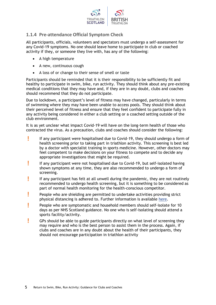

#### **1.1.4 Pre-attendance Official Symptom Check**

All participants, officials, volunteers and spectators must undergo a self-assessment for any Covid-19 symptoms. No one should leave home to participate in club or coached activity if they, or someone they live with, has any of the following:

- A high temperature
- A new, continuous cough
- A loss of or change to their sense of smell or taste

Participants should be reminded that it is their responsibility to be sufficiently fit and healthy to participate in swim, bike, run activity. They should think about any pre-existing medical conditions that they may have and, if they are in any doubt, clubs and coaches should recommend that they do not participate.

Due to lockdown, a participant's level of fitness may have changed, particularly in terms of swimming where they may have been unable to access pools. They should think about their perceived level of fitness and ensure that they feel confident to participate fully in any activity being considered in either a club setting or a coached setting outside of the club environment.

It is as yet unclear what impact Covid-19 will have on the long-term health of those who contracted the virus. As a precaution, clubs and coaches should consider the following:

- **!** If any participant were hospitalised due to Covid-19, they should undergo a form of health screening prior to taking part in triathlon activity. This screening is best led by a doctor with specialist training in sports medicine. However, other doctors may feel competent to make decisions on your fitness to compete and to decide any appropriate investigations that might be required.
- **!** If any participant were not hospitalised due to Covid-19, but self-isolated having shown symptoms at any time, they are also recommended to undergo a form of screening.
- **!** If any participant has felt at all unwell during the pandemic, they are not routinely recommended to undergo health screening, but it is something to be considered as part of normal health monitoring for the health-conscious competitor.
- **People who are shielding are permitted to undertake activities providing strict** physical distancing is adhered to. Further information is available [here.](https://www.gov.scot/publications/covid-shielding/pages/staying-safe-outdoors/)
- **P** People who are symptomatic and household members should self-isolate for 10 days as per NHS Scotland guidance. No one who is self-isolating should attend a sports facility/activity.
- **!** GPs should be able to guide participants directly on what level of screening they may require and who is the best person to assist them in the process. Again, if clubs and coaches are in any doubt about the health of their participants, they should not encourage participation in triathlon activity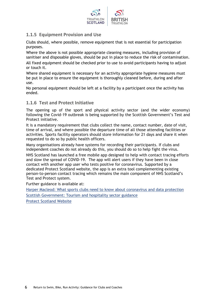

#### **1.1.5 Equipment Provision and Use**

Clubs should, where possible, remove equipment that is not essential for participation purposes.

Where the above is not possible appropriate cleaning measures, including provision of sanitiser and disposable gloves, should be put in place to reduce the risk of contamination. All fixed equipment should be checked prior to use to avoid participants having to adjust or touch it.

Where shared equipment is necessary for an activity appropriate hygiene measures must be put in place to ensure the equipment is thoroughly cleaned before, during and after use.

No personal equipment should be left at a facility by a participant once the activity has ended.

#### **1.1.6 Test and Protect Initiative**

The opening up of the sport and physical activity sector (and the wider economy) following the Covid-19 outbreak is being supported by the Scottish Government's Test and Protect initiative.

It is a mandatory requirement that clubs collect the name, contact number, date of visit, time of arrival, and where possible the departure time of all those attending facilities or activities. Sports facility operators should store information for 21 days and share it when requested to do so by public health officers.

Many organisations already have systems for recording their participants. If clubs and independent coaches do not already do this, you should do so to help fight the virus.

NHS Scotland has launched a free mobile app designed to help with contact tracing efforts and slow the spread of COVID-19. The app will alert users if they have been in close contact with another app user who tests positive for coronavirus. Supported by a dedicated Protect Scotland website, the app is an extra tool complementing existing person-to-person contact tracing which remains the main component of NHS Scotland's Test and Protect system.

Further guidance is available at:

[Harper Macleod: What sports clubs need to know about coronavirus and data protection](https://www.harpermacleod.co.uk/media/707496/what-clubs-need-to-know-about-coronavirus-and-data-protection-march-2020-060420.pdf) [Scottish Government: Tourism and hospitality sector guidance](https://www.gov.scot/publications/coronavirus-covid-19-tourism-and-hospitality-sector-guidance/pages/collecting-customer-contact-details/)

[Protect Scotland Website](http://www.protect.scot/)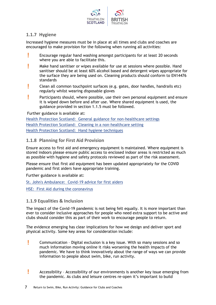

#### **1.1.7 Hygiene**

Increased hygiene measures must be in place at all times and clubs and coaches are encouraged to make provision for the following when running all activities:

- **EXECUTE:** Encourage regular hand washing amongst participants for at least 20 seconds where you are able to facilitate this.
- **!** Make hand sanitiser or wipes available for use at sessions where possible. Hand sanitiser should be at least 60% alcohol based and detergent wipes appropriate for the surface they are being used on. Cleaning products should conform to EN14476 standards
- **!** Clean all common touchpoint surfaces (e.g. gates, door handles, handrails etc) regularly whilst wearing disposable gloves
- **Participants should, where possible, use their own personal equipment and ensure** it is wiped down before and after use. Where shared equipment is used, the guidance provided in section 1.1.5 must be followed.

Further guidance is available at:

[Health Protection Scotland: General guidance for non-healthcare settings](http://www.hps.scot.nhs.uk/web-resources-container/covid-19-guidance-for-non-healthcare-settings/) [Health Protection Scotland: Cleaning in a non-healthcare setting](http://www.gov.uk/government/publications/covid-19-decontamination-in-non-healthcare-settings/covid-19-decontamination-in-non-healthcare-settings) [Health Protection Scotland: Hand hygiene techniques](http://www.hps.scot.nhs.uk/a-to-z-of-topics/hand-hygiene/)

#### **1.1.8 Planning for First Aid Provision**

Ensure access to first aid and emergency equipment is maintained. Where equipment is stored indoors please ensure public access to enclosed indoor areas is restricted as much as possible with hygiene and safety protocols reviewed as part of the risk assessment.

Please ensure that first aid equipment has been updated appropriately for the COVID pandemic and first aiders have appropriate training.

Further guidance is available at:

[St. John's Ambulance: Covid-19 advice for first aiders](http://www.sja.org.uk/get-advice/first-aid-advice/covid-19-advice-for-first-aiders/)

[HSE: First Aid during the coronavirus](http://www.hse.gov.uk/coronavirus/first-aid-and-medicals/first-aid-certificate-coronavirus.htm)

#### **1.1.9 Equalities & Inclusion**

The impact of the Covid-19 pandemic is not being felt equally. It is more important than ever to consider inclusive approaches for people who need extra support to be active and clubs should consider this as part of their work to encourage people to return.

The evidence emerging has clear implications for how we design and deliver sport and physical activity. Some key areas for consideration include:

- **!** Communication Digital exclusion is a key issue. With so many sessions and so much information moving online it risks worsening the health impacts of the pandemic. We have to think innovatively about the range of ways we can provide information to people about swim, bike, run activity.
- **!** Accessibility Accessibility of our environments is another key issue emerging from the pandemic. As clubs and leisure centres re-open it's important to build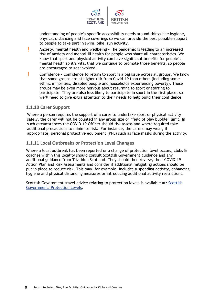

understanding of people's specific accessibility needs around things like hygiene, physical distancing and face coverings so we can provide the best possible support to people to take part in swim, bike, run activity.

- **!** Anxiety, mental health and wellbeing The pandemic is leading to an increased risk of anxiety and mental ill health for people who share all characteristics. We know that sport and physical activity can have significant benefits for people's mental health so it's vital that we continue to promote those benefits, so people are encouraged to get involved.
- **!** Confidence Confidence to return to sport is a big issue across all groups. We know that some groups are at higher risk from Covid-19 than others (including some ethnic minorities, disabled people and households experiencing poverty). These groups may be even more nervous about returning to sport or starting to participate. They are also less likely to participate in sport in the first place, so we'll need to give extra attention to their needs to help build their confidence.

#### **1.1.10 Carer Support**

Where a person requires the support of a carer to undertake sport or physical activity safely, the carer will not be counted in any group size or "field of play bubble" limit. In such circumstances the COVID-19 Officer should risk assess and where required take additional precautions to minimise risk. For instance, the carers may wear, if appropriate, personal protective equipment (PPE) such as face masks during the activity.

#### **1.1.11 Local Outbreaks or Protection Level Changes**

Where a local outbreak has been reported or a change of protection level occurs, clubs & coaches within this locality should consult Scottish Government guidance and any additional guidance from Triathlon Scotland. They should then review, their COVID-19 Action Plan and Risk Assessments and consider if additional mitigating actions should be put in place to reduce risk. This may, for example, include; suspending activity, enhancing hygiene and physical distancing measures or introducing additional activity restrictions.

Scottish Government travel advice relating to protection levels is available at: [Scottish](https://www.gov.scot/publications/coronavirus-covid-19-protection-levels/)  [Government: Protection Levels.](https://www.gov.scot/publications/coronavirus-covid-19-protection-levels/)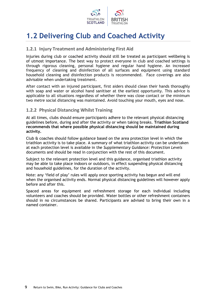

### **1.2 Delivering Club and Coached Activity**

#### **1.2.1 Injury Treatment and Administering First Aid**

Injuries during club or coached activity should still be treated as participant wellbeing is of utmost importance. The best way to protect everyone in club and coached settings is through rigorous cleaning, personal hygiene and regular hand hygiene. An increased frequency of cleaning and disinfection of all surfaces and equipment using standard household cleaning and disinfection products is recommended. Face coverings are also advisable when undertaking treatment.

After contact with an injured participant, first aiders should clean their hands thoroughly with soap and water or alcohol hand sanitiser at the earliest opportunity. This advice is applicable to all situations regardless of whether there was close contact or the minimum two metre social distancing was maintained. Avoid touching your mouth, eyes and nose.

#### **1.2.2 Physical Distancing Whilst Training**

At all times, clubs should ensure participants adhere to the relevant physical distancing guidelines before, during and after the activity or when taking breaks. **Triathlon Scotland recommends that where possible physical distancing should be maintained during activity.**

Club & coaches should follow guidance based on the area protection level in which the triathlon activity is to take place. A summary of what triathlon activity can be undertaken at each protection level is available in the *Supplementary Guidance: Protection Levels* documents and should be read in conjunction with the rest of this document.

Subject to the relevant protection level and this guidance, organised triathlon activity may be able to take place indoors or outdoors, in effect suspending physical distancing and household guidelines, for the duration of the activity.

Note: any 'field of play' rules will apply once sporting activity has begun and will end when the organised activity ends. Normal physical distancing guidelines will however apply before and after this.

Spaced areas for equipment and refreshment storage for each individual including volunteers and coaches should be provided. Water bottles or other refreshment containers should in no circumstances be shared. Participants are advised to bring their own in a named container.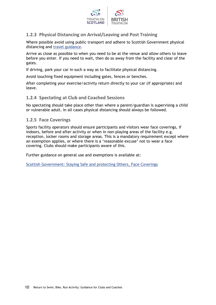

#### **1.2.3 Physical Distancing on Arrival/Leaving and Post Training**

Where possible avoid using public transport and adhere to Scottish Government physical distancing and [travel guidance.](http://www.gov.scot/publications/coronavirus-covid-19-phase-2-staying-safe-and-protecting-others/pages/travel/)

Arrive as close as possible to when you need to be at the venue and allow others to leave before you enter. If you need to wait, then do so away from the facility and clear of the gates.

If driving, park your car in such a way as to facilitate physical distancing.

Avoid touching fixed equipment including gates, fences or benches.

After completing your exercise/activity return directly to your car (if appropriate) and leave.

#### **1.2.4 Spectating at Club and Coached Sessions**

No spectating should take place other than where a parent/guardian is supervising a child or vulnerable adult. In all cases physical distancing should always be followed.

#### **1.2.5 Face Coverings**

Sports facility operators should ensure participants and visitors wear face coverings, if indoors, before and after activity or when in non-playing areas of the facility e.g. reception, locker rooms and storage areas. This is a mandatory requirement except where an exemption applies, or where there is a 'reasonable excuse' not to wear a face covering. Clubs should make participants aware of this.

Further guidance on general use and exemptions is available at:

[Scottish Government: Staying Safe and protecting Others, Face Coverings](https://www.gov.scot/publications/coronavirus-covid-19-phase-3-staying-safe-and-protecting-others/pages/face-coverings/)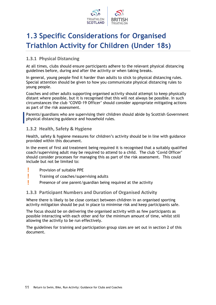

### **1.3 Specific Considerations for Organised Triathlon Activity for Children (Under 18s)**

#### **1.3.1 Physical Distancing**

At all times, clubs should ensure participants adhere to the relevant physical distancing guidelines before, during and after the activity or when taking breaks.

In general, young people find it harder than adults to stick to physical distancing rules. Special attention should be given to how you communicate physical distancing rules to young people.

Coaches and other adults supporting organised activity should attempt to keep physically distant where possible, but it is recognised that this will not always be possible. In such circumstances the club 'COVID-19 Officer' should consider appropriate mitigating actions as part of the risk assessment.

Parents/guardians who are supervising their children should abide by Scottish Government physical distancing guidance and household rules.

#### **1.3.2 Health, Safety & Hygiene**

Health, safety & hygiene measures for children's activity should be in line with guidance provided within this document.

In the event of first aid treatment being required it is recognised that a suitably qualified coach/supervising adult may be required to attend to a child. The club 'Covid Officer' should consider processes for managing this as part of the risk assessment. This could include but not be limited to:

- **!** Provision of suitable PPE
- **!** Training of coaches/supervising adults
- **Presence of one parent/guardian being required at the activity**

#### **1.3.3 Participant Numbers and Duration of Organised Activity**

Where there is likely to be close contact between children in an organised sporting activity mitigation should be put in place to minimise risk and keep participants safe.

The focus should be on delivering the organised activity with as few participants as possible interacting with each other and for the minimum amount of time, whilst still allowing the activity to be run effectively.

The guidelines for training and participation group sizes are set out in section 2 of this document.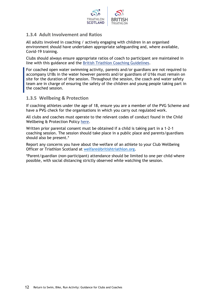

#### **1.3.4 Adult Involvement and Ratios**

All adults involved in coaching / actively engaging with children in an organised environment should have undertaken appropriate safeguarding and, where available, Covid-19 training.

Clubs should always ensure appropriate ratios of coach to participant are maintained in line with this guidance and the [British Triathlon Coaching Guidelines.](https://learninghub.britishtriathlon.org/mod/book/view.php?id=4019)

For coached open water swimming activity, parents and/or guardians are not required to accompany U18s in the water however parents and/or guardians of U16s must remain on site for the duration of the session. Throughout the session, the coach and water safety team are in charge of ensuring the safety of the children and young people taking part in the coached session.

#### **1.3.5 Wellbeing & Protection**

If coaching athletes under the age of 18, ensure you are a member of the PVG Scheme and have a PVG check for the organisations in which you carry out regulated work.

All clubs and coaches must operate to the relevant codes of conduct found in the Child Wellbeing & Protection Policy [here.](https://www.triathlonscotland.org/athlete-wellbeing/)

Written prior parental consent must be obtained if a child is taking part in a 1-2-1 coaching session. The session should take place in a public place and parents/guardians should also be present.\*

Report any concerns you have about the welfare of an athlete to your Club Wellbeing Officer or Triathlon Scotland at [welfare@britishtriathlon.org.](mailto:welfare@britishtriathlon.org)

\*Parent/guardian (non-participant) attendance should be limited to one per child where possible, with social distancing strictly observed while watching the session.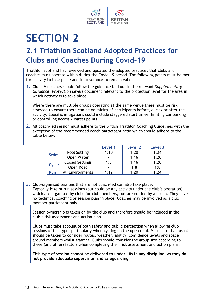

# **SECTION 2**

### **2.1 Triathlon Scotland Adopted Practices for Clubs and Coaches During Covid-19**

Triathlon Scotland has reviewed and updated the adopted practices that clubs and coaches must operate within during the Covid-19 period. The following points must be met for activity to take place and for insurance to remain valid:

**1.** Clubs & coaches should follow the guidance laid out in the relevant *Supplementary Guidance: Protection Levels* document relevant to the protection level for the area in which activity is to take place.

Where there are multiple groups operating at the same venue these must be risk assessed to ensure there can be no mixing of participants before, during or after the activity. Specific mitigations could include staggered start times, limiting car parking or controlling access / egress points.

**2.** All coach-led session must adhere to the British Triathlon Coaching Guidelines with the exception of the recommended coach participant ratio which should adhere to the table below:

|             |                         | Level 1 | Level 2 | Level 3 |
|-------------|-------------------------|---------|---------|---------|
| <b>Swim</b> | Pool Setting            | 1:10    | 1:20    | 1:24    |
|             | Open Water              |         | 1:16    | 1:20    |
| Cycle       | <b>Closed Settings</b>  | 1:8     | 1:16    | 1:20    |
|             | Open Road               |         | 1:8     | 1:8     |
| <b>Run</b>  | <b>All Environments</b> | 1:12    | 1:20    | 1:24    |

**3.** Club-organised sessions that are not coach-led can also take place. Typically bike or run sessions (but could be any activity under the club's operation) which are organised by clubs for club members, but are not led by a coach. They have no technical coaching or session plan in place. Coaches may be involved as a club member participant only.

Session ownership is taken on by the club and therefore should be included in the club's risk assessment and action plan.

Clubs must take account of both safety and public perception when allowing club sessions of this type, particularly when cycling on the open road. More care than usual should be taken to consider routes, weather, ability, confidence levels and space around members whilst training. Clubs should consider the group size according to these (and other) factors when completing their risk assessment and action plans.

**This type of session cannot be delivered to under 18s in any discipline, as they do not provide adequate supervision and safeguarding.**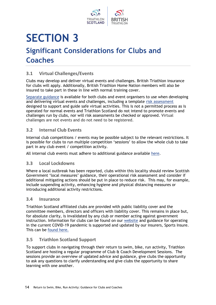

### **SECTION 3 Significant Considerations for Clubs and Coaches**

#### **3.1 Virtual Challenges/Events**

Clubs may develop and deliver virtual events and challenges. British Triathlon insurance for clubs will apply. Additionally, British Triathlon Home Nation members will also be insured to take part in these in line with normal training cover.

[Separate guidance](https://www.triathlonscotland.org/wp-content/uploads/British-Triathlon-Guide-to-Organising-Virtual-Challenges-V1.pdf) is available for both clubs and event organisers to use when developing and delivering virtual events and challenges, including a template [risk assessment](https://www.triathlonscotland.org/wp-content/uploads/Virtual-Challenge-Risk-Assessment-Template.xlsx) designed to support and guide safe virtual activities. This is not a permitted process as is operated for normal events and Triathlon Scotland do not intend to promote events and challenges run by clubs, nor will risk assessments be checked or approved. Virtual challenges are not events and do not need to be registered.

#### **3.2 Internal Club Events**

Internal club competitions / events may be possible subject to the relevant restrictions. It is possible for clubs to run multiple competition 'sessions' to allow the whole club to take part in any club event / competition activity.

All internal club events must adhere to additional guidance available [here.](https://www.triathlonscotland.org/covid-19/club-guidance-covid-19/)

#### **3.3 Local Lockdowns**

Where a local outbreak has been reported, clubs within this locality should review Scottish Government 'local measures' guidance, their operational risk assessment and consider if additional mitigating actions should be put in place to reduce risk. This may, for example, include suspending activity, enhancing hygiene and physical distancing measures or introducing additional activity restrictions.

#### **3.4 Insurance**

Triathlon Scotland affiliated clubs are provided with public liability cover and the committee members, directors and officers with liability cover. This remains in place but, for absolute clarity, is invalidated by any club or member acting against government instruction. Information for clubs can be found on our [website](https://www.triathlonscotland.org/clubs/club-affiliation/) and guidance for operating in the current COVID-19 pandemic is supported and updated by our insurers, Sports Insure. This can be [found here.](https://www.sports-insure.co.uk/client/britishtriathlon/coronavirus-update/)

#### **3.5 Triathlon Scotland Support**

To support clubs in navigating through their return to swim, bike, run activity, Triathlon Scotland are hosting a regular programme of Club & Coach Development Sessions. The sessions provide an overview of updated advice and guidance, give clubs the opportunity to ask any questions to clarify understanding and give clubs the opportunity to share learning with one another.